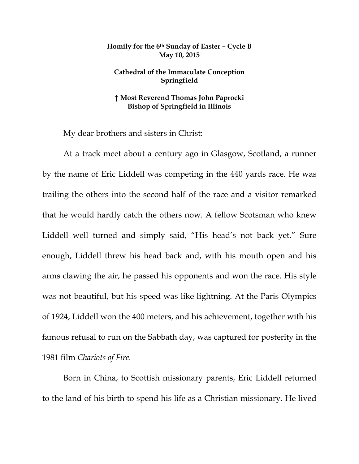## **Homily for the 6th Sunday of Easter – Cycle B May 10, 2015**

## **Cathedral of the Immaculate Conception Springfield**

## **† Most Reverend Thomas John Paprocki Bishop of Springfield in Illinois**

My dear brothers and sisters in Christ:

 At a track meet about a century ago in Glasgow, Scotland, a runner by the name of Eric Liddell was competing in the 440 yards race. He was trailing the others into the second half of the race and a visitor remarked that he would hardly catch the others now. A fellow Scotsman who knew Liddell well turned and simply said, "His head's not back yet." Sure enough, Liddell threw his head back and, with his mouth open and his arms clawing the air, he passed his opponents and won the race. His style was not beautiful, but his speed was like lightning. At the Paris Olympics of 1924, Liddell won the 400 meters, and his achievement, together with his famous refusal to run on the Sabbath day, was captured for posterity in the 1981 film *Chariots of Fire.* 

Born in China, to Scottish missionary parents, Eric Liddell returned to the land of his birth to spend his life as a Christian missionary. He lived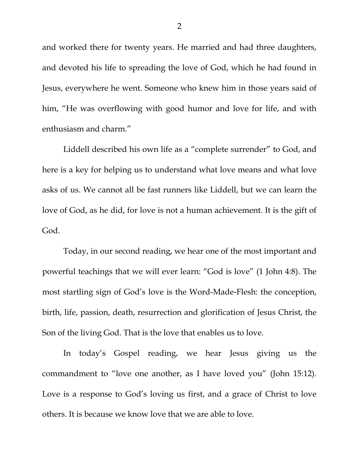and worked there for twenty years. He married and had three daughters, and devoted his life to spreading the love of God, which he had found in Jesus, everywhere he went. Someone who knew him in those years said of him, "He was overflowing with good humor and love for life, and with enthusiasm and charm."

Liddell described his own life as a "complete surrender" to God, and here is a key for helping us to understand what love means and what love asks of us. We cannot all be fast runners like Liddell, but we can learn the love of God, as he did, for love is not a human achievement. It is the gift of God.

Today, in our second reading, we hear one of the most important and powerful teachings that we will ever learn: "God is love" (1 John 4:8). The most startling sign of God's love is the Word-Made-Flesh: the conception, birth, life, passion, death, resurrection and glorification of Jesus Christ, the Son of the living God. That is the love that enables us to love.

In today's Gospel reading, we hear Jesus giving us the commandment to "love one another, as I have loved you" (John 15:12). Love is a response to God's loving us first, and a grace of Christ to love others. It is because we know love that we are able to love.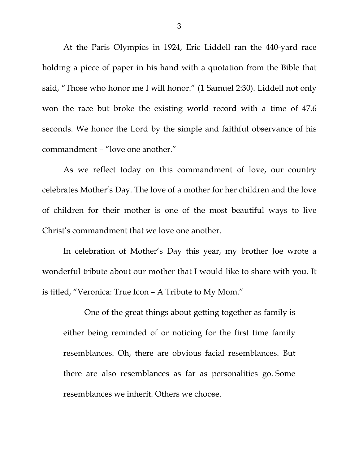At the Paris Olympics in 1924, Eric Liddell ran the 440-yard race holding a piece of paper in his hand with a quotation from the Bible that said, "Those who honor me I will honor." (1 Samuel 2:30). Liddell not only won the race but broke the existing world record with a time of 47.6 seconds. We honor the Lord by the simple and faithful observance of his commandment – "love one another."

As we reflect today on this commandment of love, our country celebrates Mother's Day. The love of a mother for her children and the love of children for their mother is one of the most beautiful ways to live Christ's commandment that we love one another.

In celebration of Mother's Day this year, my brother Joe wrote a wonderful tribute about our mother that I would like to share with you. It is titled, "Veronica: True Icon – A Tribute to My Mom."

One of the great things about getting together as family is either being reminded of or noticing for the first time family resemblances. Oh, there are obvious facial resemblances. But there are also resemblances as far as personalities go. Some resemblances we inherit. Others we choose.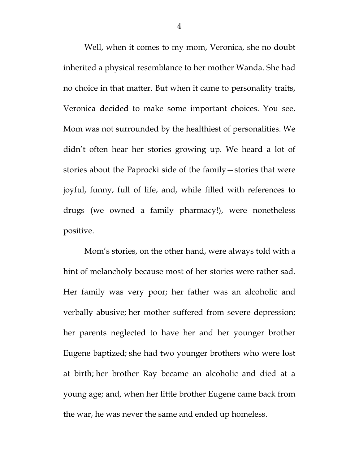Well, when it comes to my mom, Veronica, she no doubt inherited a physical resemblance to her mother Wanda. She had no choice in that matter. But when it came to personality traits, Veronica decided to make some important choices. You see, Mom was not surrounded by the healthiest of personalities. We didn't often hear her stories growing up. We heard a lot of stories about the Paprocki side of the family—stories that were joyful, funny, full of life, and, while filled with references to drugs (we owned a family pharmacy!), were nonetheless positive.

Mom's stories, on the other hand, were always told with a hint of melancholy because most of her stories were rather sad. Her family was very poor; her father was an alcoholic and verbally abusive; her mother suffered from severe depression; her parents neglected to have her and her younger brother Eugene baptized; she had two younger brothers who were lost at birth; her brother Ray became an alcoholic and died at a young age; and, when her little brother Eugene came back from the war, he was never the same and ended up homeless.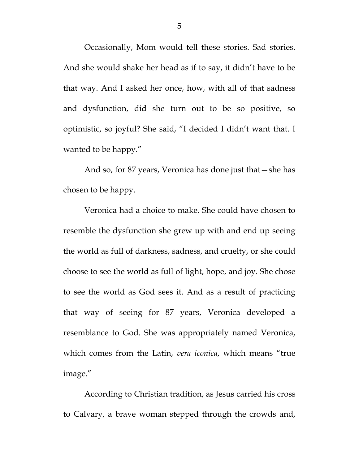Occasionally, Mom would tell these stories. Sad stories. And she would shake her head as if to say, it didn't have to be that way. And I asked her once, how, with all of that sadness and dysfunction, did she turn out to be so positive, so optimistic, so joyful? She said, "I decided I didn't want that. I wanted to be happy."

And so, for 87 years, Veronica has done just that—she has chosen to be happy.

Veronica had a choice to make. She could have chosen to resemble the dysfunction she grew up with and end up seeing the world as full of darkness, sadness, and cruelty, or she could choose to see the world as full of light, hope, and joy. She chose to see the world as God sees it. And as a result of practicing that way of seeing for 87 years, Veronica developed a resemblance to God. She was appropriately named Veronica, which comes from the Latin, *vera iconica*, which means "true image."

According to Christian tradition, as Jesus carried his cross to Calvary, a brave woman stepped through the crowds and,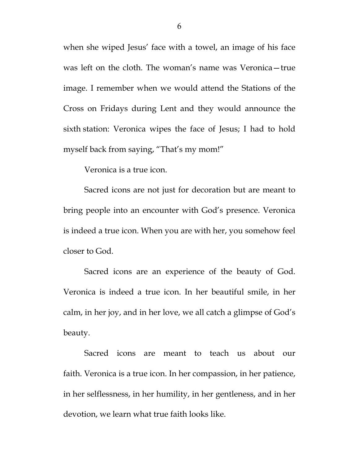when she wiped Jesus' face with a towel, an image of his face was left on the cloth. The woman's name was Veronica—true image. I remember when we would attend the Stations of the Cross on Fridays during Lent and they would announce the sixth station: Veronica wipes the face of Jesus; I had to hold myself back from saying, "That's my mom!"

Veronica is a true icon.

Sacred icons are not just for decoration but are meant to bring people into an encounter with God's presence. Veronica is indeed a true icon. When you are with her, you somehow feel closer to God.

Sacred icons are an experience of the beauty of God. Veronica is indeed a true icon. In her beautiful smile, in her calm, in her joy, and in her love, we all catch a glimpse of God's beauty.

Sacred icons are meant to teach us about our faith. Veronica is a true icon. In her compassion, in her patience, in her selflessness, in her humility, in her gentleness, and in her devotion, we learn what true faith looks like.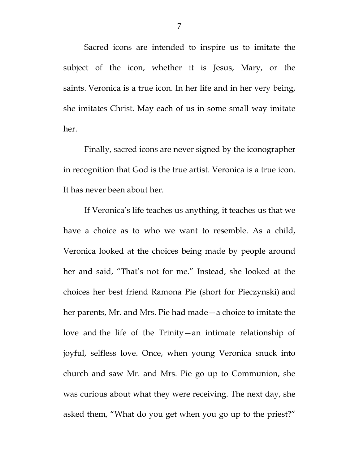Sacred icons are intended to inspire us to imitate the subject of the icon, whether it is Jesus, Mary, or the saints. Veronica is a true icon. In her life and in her very being, she imitates Christ. May each of us in some small way imitate her.

Finally, sacred icons are never signed by the iconographer in recognition that God is the true artist. Veronica is a true icon. It has never been about her.

If Veronica's life teaches us anything, it teaches us that we have a choice as to who we want to resemble. As a child, Veronica looked at the choices being made by people around her and said, "That's not for me." Instead, she looked at the choices her best friend Ramona Pie (short for Pieczynski) and her parents, Mr. and Mrs. Pie had made—a choice to imitate the love and the life of the Trinity—an intimate relationship of joyful, selfless love. Once, when young Veronica snuck into church and saw Mr. and Mrs. Pie go up to Communion, she was curious about what they were receiving. The next day, she asked them, "What do you get when you go up to the priest?"